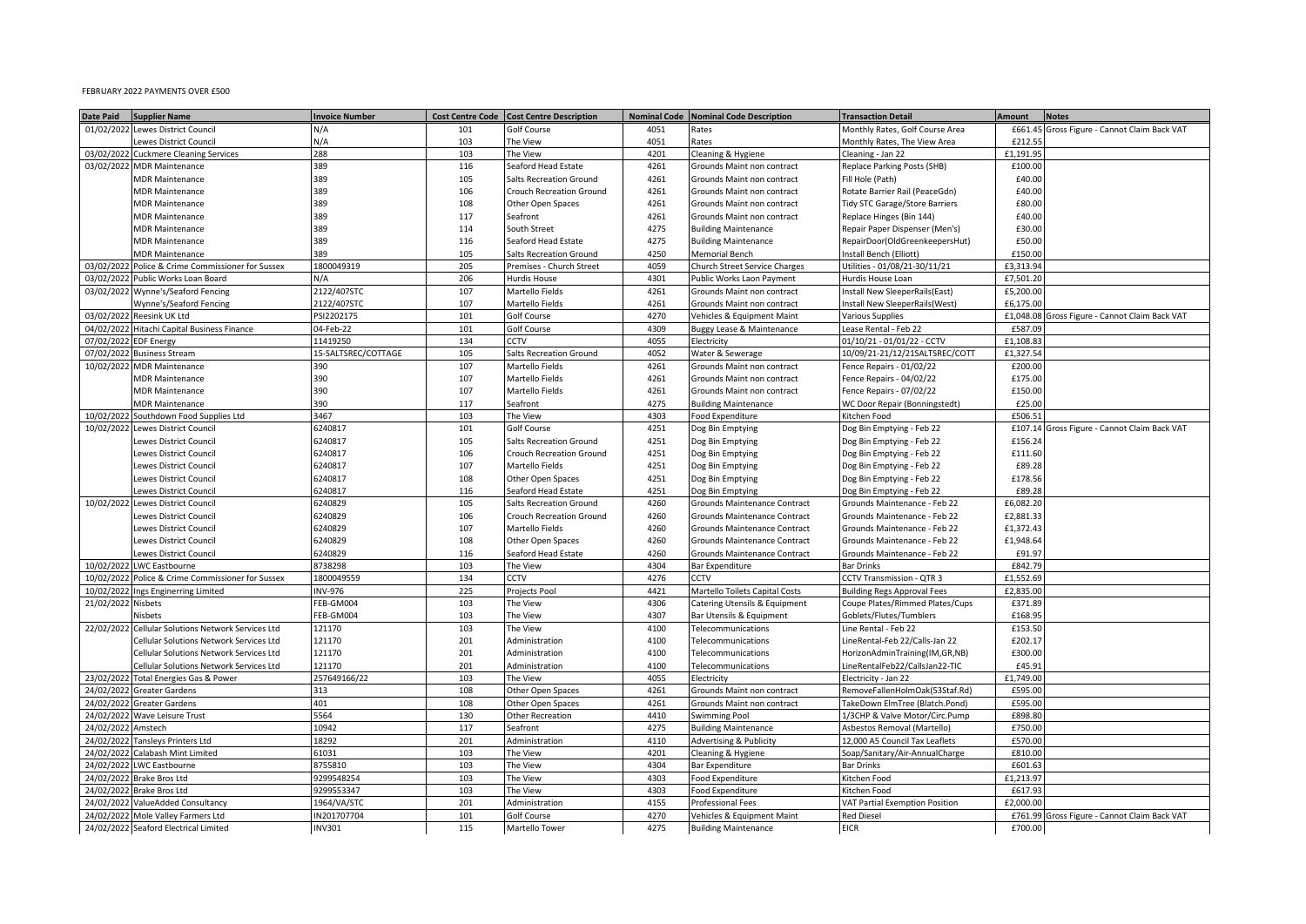## FEBRUARY 2022 PAYMENTS OVER £500

| 01/02/2022 Lewes District Council<br>101<br>4051<br>N/A<br><b>Golf Course</b><br>Rates<br>Monthly Rates, Golf Course Area<br>£661.45<br>Gross Figure - Cannot Claim Back VAT<br>103<br>4051<br>ewes District Council<br>N/A<br>The View<br>Monthly Rates, The View Area<br>£212.55<br>Rates<br>03/02/202<br><b>Cuckmere Cleaning Services</b><br>288<br>103<br>The View<br>4201<br>Cleaning & Hygiene<br>Cleaning - Jan 22<br>£1,191.95<br>03/02/2022 MDR Maintenance<br>389<br>116<br>Seaford Head Estate<br>4261<br>Replace Parking Posts (SHB)<br>£100.00<br>Grounds Maint non contract<br>389<br>105<br><b>Salts Recreation Ground</b><br>4261<br>Fill Hole (Path)<br>£40.00<br><b>MDR Maintenance</b><br>Grounds Maint non contract<br>389<br>106<br>4261<br><b>MDR Maintenance</b><br><b>Crouch Recreation Ground</b><br>Grounds Maint non contract<br>Rotate Barrier Rail (PeaceGdn)<br>£40.00<br>389<br>4261<br><b>MDR Maintenance</b><br>108<br>Other Open Spaces<br>Grounds Maint non contract<br>Tidy STC Garage/Store Barriers<br>£80.00<br><b>MDR Maintenance</b><br>389<br>117<br>Seafront<br>4261<br>Grounds Maint non contract<br>Replace Hinges (Bin 144)<br>£40.00<br><b>MDR Maintenance</b><br>389<br>114<br>South Street<br>4275<br><b>Building Maintenance</b><br>£30.00<br>Repair Paper Dispenser (Men's)<br><b>MDR Maintenance</b><br>389<br>116<br>Seaford Head Estate<br>4275<br><b>Building Maintenance</b><br>RepairDoor(OldGreenkeepersHut)<br>£50.00<br>4250<br><b>MDR Maintenance</b><br>389<br>105<br><b>Salts Recreation Ground</b><br><b>Memorial Bench</b><br>nstall Bench (Elliott)<br>£150.00<br>1800049319<br>205<br>4059<br>Jtilities - 01/08/21-30/11/21<br>£3,313.94<br>03/02/2022<br>Police & Crime Commissioner for Sussex<br>Premises - Church Street<br>Church Street Service Charges<br>03/02/2022 Public Works Loan Board<br>206<br>4301<br>Iurdis House Loan<br>£7,501.20<br>N/A<br>Hurdis House<br>Public Works Laon Payment<br>4261<br>03/02/2022 Wynne's/Seaford Fencing<br>2122/407STC<br>107<br>Martello Fields<br>£5,200.00<br>Grounds Maint non contract<br>Install New SleeperRails(East)<br>4261<br>Wynne's/Seaford Fencing<br>2122/407STC<br>107<br>£6,175.00<br>Martello Fields<br>Grounds Maint non contract<br>nstall New SleeperRails(West)<br>03/02/202<br>Reesink UK Ltd<br>101<br>4270<br>PSI2202175<br>Golf Course<br>Vehicles & Equipment Maint<br><b>Various Supplies</b><br>£1,048.08<br>Gross Figure - Cannot Claim Back VAT<br>4309<br>04/02/2022 Hitachi Capital Business Finance<br>04-Feb-22<br>101<br>Golf Course<br>Buggy Lease & Maintenance<br>ease Rental - Feb 22<br>£587.09<br>134<br>CCTV<br>4055<br>07/02/2022<br><b>EDF Energy</b><br>11419250<br>Electricity<br>01/10/21 - 01/01/22 - CCTV<br>£1,108.83<br>15-SALTSREC/COTTAGE<br>105<br>4052<br>10/09/21-21/12/21SALTSREC/COTT<br>£1,327.54<br>07/02/2022 Business Stream<br>Salts Recreation Ground<br>Water & Sewerage<br>10/02/2022 MDR Maintenance<br>107<br>Martello Fields<br>4261<br>Grounds Maint non contract<br>Fence Repairs - 01/02/22<br>£200.00<br>390<br>4261<br><b>MDR Maintenance</b><br>390<br>107<br>Martello Fields<br>Grounds Maint non contract<br>Fence Repairs - 04/02/22<br>£175.00<br>390<br>107<br>Martello Fields<br>4261<br>£150.00<br><b>MDR Maintenance</b><br>Grounds Maint non contract<br>Fence Repairs - 07/02/22<br><b>MDR Maintenance</b><br>390<br>117<br>Seafront<br>4275<br>WC Door Repair (Bonningstedt)<br>£25.00<br><b>Building Maintenance</b><br>10/02/2022<br>Southdown Food Supplies Ltd<br>3467<br>103<br>The View<br>4303<br>Food Expenditure<br>Kitchen Food<br>£506.51<br>6240817<br>101<br>4251<br>10/02/2022 Lewes District Council<br>Golf Course<br>Dog Bin Emptying<br>Dog Bin Emptying - Feb 22<br>£107.14 Gross Figure - Cannot Claim Back VAT<br>105<br>4251<br>6240817<br>Dog Bin Emptying - Feb 22<br>£156.24<br>Lewes District Council<br><b>Salts Recreation Ground</b><br>Dog Bin Emptying<br>6240817<br>106<br>4251<br>£111.60<br>Lewes District Council<br><b>Crouch Recreation Ground</b><br>Dog Bin Emptying - Feb 22<br>Dog Bin Emptying<br>107<br>4251<br>£89.28<br>Lewes District Council<br>6240817<br>Martello Fields<br>Dog Bin Emptying - Feb 22<br>Dog Bin Emptying<br>108<br>4251<br>£178.56<br>Lewes District Council<br>6240817<br>Other Open Spaces<br>Dog Bin Emptying<br>Dog Bin Emptying - Feb 22<br>116<br>4251<br>£89.28<br>Lewes District Council<br>6240817<br>Seaford Head Estate<br>Dog Bin Emptying<br>Dog Bin Emptying - Feb 22<br>6240829<br>105<br>4260<br>£6,082.20<br>10/02/2022 Lewes District Council<br>Salts Recreation Ground<br>Grounds Maintenance Contract<br>Grounds Maintenance - Feb 22<br>6240829<br>106<br>4260<br><b>Lewes District Council</b><br><b>Crouch Recreation Ground</b><br>Grounds Maintenance Contract<br>Grounds Maintenance - Feb 22<br>£2,881.33<br>Lewes District Council<br>6240829<br>107<br>Martello Fields<br>4260<br>Grounds Maintenance - Feb 22<br>£1,372.43<br>Grounds Maintenance Contract<br>Lewes District Council<br>6240829<br>108<br>Other Open Spaces<br>4260<br>Grounds Maintenance Contract<br>Grounds Maintenance - Feb 22<br>£1,948.64<br>ewes District Council<br>6240829<br>Seaford Head Estate<br>4260<br>Grounds Maintenance - Feb 22<br>116<br><b>Grounds Maintenance Contract</b><br>£91.97<br>10/02/2022<br><b>LWC Eastbourne</b><br>8738298<br>103<br>4304<br><b>Bar Expenditure</b><br><b>Bar Drinks</b><br>£842.79<br>The View<br>134<br>4276<br>10/02/2022<br>Police & Crime Commissioner for Sussex<br>1800049559<br>CCTV<br>CCTV<br>CCTV Transmission - QTR 3<br>£1,552.69<br>225<br>4421<br>10/02/2022<br>Ings Enginerring Limited<br><b>INV-976</b><br>Projects Pool<br>Martello Toilets Capital Costs<br><b>Building Regs Approval Fees</b><br>£2,835.00<br>21/02/2022 Nisbets<br>FEB-GM004<br>103<br>4306<br>The View<br>Coupe Plates/Rimmed Plates/Cups<br>£371.89<br>Catering Utensils & Equipment<br>FEB-GM004<br>103<br>4307<br>The View<br>Goblets/Flutes/Tumblers<br>£168.95<br>Visbets<br>Bar Utensils & Equipment<br>22/02/2022 Cellular Solutions Network Services Ltd<br>121170<br>103<br>The View<br>4100<br>Line Rental - Feb 22<br>£153.50<br>Telecommunications<br>121170<br>£202.17<br>Cellular Solutions Network Services Ltd<br>201<br>Administration<br>4100<br>LineRental-Feb 22/Calls-Jan 22<br>Telecommunications<br>121170<br>201<br>4100<br>£300.00<br>Cellular Solutions Network Services Ltd<br>Administration<br>Telecommunications<br>HorizonAdminTraining(IM,GR,NB)<br>121170<br>201<br>4100<br>Cellular Solutions Network Services Ltd<br>Administration<br>Telecommunications<br>LineRentalFeb22/CallsJan22-TIC<br>£45.91<br>103<br>4055<br>£1,749.00<br>23/02/2022 Total Energies Gas & Power<br>257649166/22<br>The View<br>Electricity - Jan 22<br>Electricity<br>24/02/2022 Greater Gardens<br>108<br>4261<br>313<br>Other Open Spaces<br>Grounds Maint non contract<br>RemoveFallenHolmOak(53Staf.Rd)<br>£595.00<br>108<br>4261<br>24/02/2022<br><b>Greater Gardens</b><br>401<br>Other Open Spaces<br>Grounds Maint non contract<br>TakeDown ElmTree (Blatch.Pond)<br>£595.00<br>24/02/2022 Wave Leisure Trust<br>5564<br>130<br>Other Recreation<br>4410<br><b>Swimming Pool</b><br>1/3CHP & Valve Motor/Circ.Pump<br>£898.80<br>Amstech<br>10942<br>117<br>4275<br><b>Building Maintenance</b><br>£750.00<br>24/02/2022<br>Seafront<br>Asbestos Removal (Martello<br>24/02/2022<br><b>Tansleys Printers Ltd</b><br>18292<br>201<br>Administration<br>4110<br><b>Advertising &amp; Publicity</b><br>12,000 A5 Council Tax Leaflets<br>£570.00<br>24/02/2022<br><b>Calabash Mint Limited</b><br>61031<br>103<br>The View<br>4201<br>Cleaning & Hygiene<br>Soap/Sanitary/Air-AnnualCharge<br>£810.00<br>24/02/2022 LWC Eastbourne<br>8755810<br>103<br>The View<br>4304<br>£601.63<br><b>Bar Expenditure</b><br>Bar Drinks<br>24/02/2022 Brake Bros Ltd<br>9299548254<br>103<br>4303<br>£1,213.97<br>The View<br>Kitchen Food<br>Food Expenditure<br>9299553347<br>4303<br>£617.93<br>24/02/2022 Brake Bros Ltd<br>103<br>The View<br>Food Expenditure<br>Gitchen Food<br>201<br>4155<br>£2,000.00<br>24/02/2022<br>ValueAdded Consultancy<br>1964/VA/STC<br>Administration<br>/AT Partial Exemption Position<br>Professional Fees<br>24/02/2022 Mole Valley Farmers Ltd<br>101<br>4270<br>IN201707704<br>Golf Course<br>Vehicles & Equipment Maint<br><b>Red Diesel</b><br>£761.99<br>Gross Figure - Cannot Claim Back VAT<br>115<br>4275<br><b>EICR</b><br>£700.00 | <b>Date Paid</b><br><b>Supplier Name</b> | <b>Invoice Number</b> | Cost Centre Code   Cost Centre Description | Nominal Code Nominal Code Description | <b>Transaction Detail</b> | <b>Amount</b> | <b>Notes</b> |
|---------------------------------------------------------------------------------------------------------------------------------------------------------------------------------------------------------------------------------------------------------------------------------------------------------------------------------------------------------------------------------------------------------------------------------------------------------------------------------------------------------------------------------------------------------------------------------------------------------------------------------------------------------------------------------------------------------------------------------------------------------------------------------------------------------------------------------------------------------------------------------------------------------------------------------------------------------------------------------------------------------------------------------------------------------------------------------------------------------------------------------------------------------------------------------------------------------------------------------------------------------------------------------------------------------------------------------------------------------------------------------------------------------------------------------------------------------------------------------------------------------------------------------------------------------------------------------------------------------------------------------------------------------------------------------------------------------------------------------------------------------------------------------------------------------------------------------------------------------------------------------------------------------------------------------------------------------------------------------------------------------------------------------------------------------------------------------------------------------------------------------------------------------------------------------------------------------------------------------------------------------------------------------------------------------------------------------------------------------------------------------------------------------------------------------------------------------------------------------------------------------------------------------------------------------------------------------------------------------------------------------------------------------------------------------------------------------------------------------------------------------------------------------------------------------------------------------------------------------------------------------------------------------------------------------------------------------------------------------------------------------------------------------------------------------------------------------------------------------------------------------------------------------------------------------------------------------------------------------------------------------------------------------------------------------------------------------------------------------------------------------------------------------------------------------------------------------------------------------------------------------------------------------------------------------------------------------------------------------------------------------------------------------------------------------------------------------------------------------------------------------------------------------------------------------------------------------------------------------------------------------------------------------------------------------------------------------------------------------------------------------------------------------------------------------------------------------------------------------------------------------------------------------------------------------------------------------------------------------------------------------------------------------------------------------------------------------------------------------------------------------------------------------------------------------------------------------------------------------------------------------------------------------------------------------------------------------------------------------------------------------------------------------------------------------------------------------------------------------------------------------------------------------------------------------------------------------------------------------------------------------------------------------------------------------------------------------------------------------------------------------------------------------------------------------------------------------------------------------------------------------------------------------------------------------------------------------------------------------------------------------------------------------------------------------------------------------------------------------------------------------------------------------------------------------------------------------------------------------------------------------------------------------------------------------------------------------------------------------------------------------------------------------------------------------------------------------------------------------------------------------------------------------------------------------------------------------------------------------------------------------------------------------------------------------------------------------------------------------------------------------------------------------------------------------------------------------------------------------------------------------------------------------------------------------------------------------------------------------------------------------------------------------------------------------------------------------------------------------------------------------------------------------------------------------------------------------------------------------------------------------------------------------------------------------------------------------------------------------------------------------------------------------------------------------------------------------------------------------------------------------------------------------------------------------------------------------------------------------------------------------------------------------------------------------------------------------------------------------------------------------------------------------------------------------------------------------------------------------------------------------------------------------------------------------------------------------------------------------------------------------------------------------------------------------------------------------------------------------------------------------------------------------------------------------------------------------------------------------------------------------------------------------------------------------------------------------------------------------------------------------------------------------------------------------------------------------------------------------------------------------------------------------------------------------------------------------------------------------------------------------------------------------------------------------------------------------------------------------------------------------------------------------------------------------------------------------------------------------------------------------------------------------------------------------------------------------------------------------------------------------------------------------------------------------------------------------------------------------------------------------------------------------------------------------------------------------------------------------------------------------------------------------------------------------------------------------------------------------------|------------------------------------------|-----------------------|--------------------------------------------|---------------------------------------|---------------------------|---------------|--------------|
|                                                                                                                                                                                                                                                                                                                                                                                                                                                                                                                                                                                                                                                                                                                                                                                                                                                                                                                                                                                                                                                                                                                                                                                                                                                                                                                                                                                                                                                                                                                                                                                                                                                                                                                                                                                                                                                                                                                                                                                                                                                                                                                                                                                                                                                                                                                                                                                                                                                                                                                                                                                                                                                                                                                                                                                                                                                                                                                                                                                                                                                                                                                                                                                                                                                                                                                                                                                                                                                                                                                                                                                                                                                                                                                                                                                                                                                                                                                                                                                                                                                                                                                                                                                                                                                                                                                                                                                                                                                                                                                                                                                                                                                                                                                                                                                                                                                                                                                                                                                                                                                                                                                                                                                                                                                                                                                                                                                                                                                                                                                                                                                                                                                                                                                                                                                                                                                                                                                                                                                                                                                                                                                                                                                                                                                                                                                                                                                                                                                                                                                                                                                                                                                                                                                                                                                                                                                                                                                                                                                                                                                                                                                                                                                                                                                                                                                                                                                                                                                                                                                                                                                                                                                                                                                                                                                                                                                                                                                                                                                                                                                                                                                                                                                                                                                                                                                                                                                                                                                                                                                                                                                                               |                                          |                       |                                            |                                       |                           |               |              |
|                                                                                                                                                                                                                                                                                                                                                                                                                                                                                                                                                                                                                                                                                                                                                                                                                                                                                                                                                                                                                                                                                                                                                                                                                                                                                                                                                                                                                                                                                                                                                                                                                                                                                                                                                                                                                                                                                                                                                                                                                                                                                                                                                                                                                                                                                                                                                                                                                                                                                                                                                                                                                                                                                                                                                                                                                                                                                                                                                                                                                                                                                                                                                                                                                                                                                                                                                                                                                                                                                                                                                                                                                                                                                                                                                                                                                                                                                                                                                                                                                                                                                                                                                                                                                                                                                                                                                                                                                                                                                                                                                                                                                                                                                                                                                                                                                                                                                                                                                                                                                                                                                                                                                                                                                                                                                                                                                                                                                                                                                                                                                                                                                                                                                                                                                                                                                                                                                                                                                                                                                                                                                                                                                                                                                                                                                                                                                                                                                                                                                                                                                                                                                                                                                                                                                                                                                                                                                                                                                                                                                                                                                                                                                                                                                                                                                                                                                                                                                                                                                                                                                                                                                                                                                                                                                                                                                                                                                                                                                                                                                                                                                                                                                                                                                                                                                                                                                                                                                                                                                                                                                                                                               |                                          |                       |                                            |                                       |                           |               |              |
|                                                                                                                                                                                                                                                                                                                                                                                                                                                                                                                                                                                                                                                                                                                                                                                                                                                                                                                                                                                                                                                                                                                                                                                                                                                                                                                                                                                                                                                                                                                                                                                                                                                                                                                                                                                                                                                                                                                                                                                                                                                                                                                                                                                                                                                                                                                                                                                                                                                                                                                                                                                                                                                                                                                                                                                                                                                                                                                                                                                                                                                                                                                                                                                                                                                                                                                                                                                                                                                                                                                                                                                                                                                                                                                                                                                                                                                                                                                                                                                                                                                                                                                                                                                                                                                                                                                                                                                                                                                                                                                                                                                                                                                                                                                                                                                                                                                                                                                                                                                                                                                                                                                                                                                                                                                                                                                                                                                                                                                                                                                                                                                                                                                                                                                                                                                                                                                                                                                                                                                                                                                                                                                                                                                                                                                                                                                                                                                                                                                                                                                                                                                                                                                                                                                                                                                                                                                                                                                                                                                                                                                                                                                                                                                                                                                                                                                                                                                                                                                                                                                                                                                                                                                                                                                                                                                                                                                                                                                                                                                                                                                                                                                                                                                                                                                                                                                                                                                                                                                                                                                                                                                                               |                                          |                       |                                            |                                       |                           |               |              |
|                                                                                                                                                                                                                                                                                                                                                                                                                                                                                                                                                                                                                                                                                                                                                                                                                                                                                                                                                                                                                                                                                                                                                                                                                                                                                                                                                                                                                                                                                                                                                                                                                                                                                                                                                                                                                                                                                                                                                                                                                                                                                                                                                                                                                                                                                                                                                                                                                                                                                                                                                                                                                                                                                                                                                                                                                                                                                                                                                                                                                                                                                                                                                                                                                                                                                                                                                                                                                                                                                                                                                                                                                                                                                                                                                                                                                                                                                                                                                                                                                                                                                                                                                                                                                                                                                                                                                                                                                                                                                                                                                                                                                                                                                                                                                                                                                                                                                                                                                                                                                                                                                                                                                                                                                                                                                                                                                                                                                                                                                                                                                                                                                                                                                                                                                                                                                                                                                                                                                                                                                                                                                                                                                                                                                                                                                                                                                                                                                                                                                                                                                                                                                                                                                                                                                                                                                                                                                                                                                                                                                                                                                                                                                                                                                                                                                                                                                                                                                                                                                                                                                                                                                                                                                                                                                                                                                                                                                                                                                                                                                                                                                                                                                                                                                                                                                                                                                                                                                                                                                                                                                                                                               |                                          |                       |                                            |                                       |                           |               |              |
|                                                                                                                                                                                                                                                                                                                                                                                                                                                                                                                                                                                                                                                                                                                                                                                                                                                                                                                                                                                                                                                                                                                                                                                                                                                                                                                                                                                                                                                                                                                                                                                                                                                                                                                                                                                                                                                                                                                                                                                                                                                                                                                                                                                                                                                                                                                                                                                                                                                                                                                                                                                                                                                                                                                                                                                                                                                                                                                                                                                                                                                                                                                                                                                                                                                                                                                                                                                                                                                                                                                                                                                                                                                                                                                                                                                                                                                                                                                                                                                                                                                                                                                                                                                                                                                                                                                                                                                                                                                                                                                                                                                                                                                                                                                                                                                                                                                                                                                                                                                                                                                                                                                                                                                                                                                                                                                                                                                                                                                                                                                                                                                                                                                                                                                                                                                                                                                                                                                                                                                                                                                                                                                                                                                                                                                                                                                                                                                                                                                                                                                                                                                                                                                                                                                                                                                                                                                                                                                                                                                                                                                                                                                                                                                                                                                                                                                                                                                                                                                                                                                                                                                                                                                                                                                                                                                                                                                                                                                                                                                                                                                                                                                                                                                                                                                                                                                                                                                                                                                                                                                                                                                                               |                                          |                       |                                            |                                       |                           |               |              |
|                                                                                                                                                                                                                                                                                                                                                                                                                                                                                                                                                                                                                                                                                                                                                                                                                                                                                                                                                                                                                                                                                                                                                                                                                                                                                                                                                                                                                                                                                                                                                                                                                                                                                                                                                                                                                                                                                                                                                                                                                                                                                                                                                                                                                                                                                                                                                                                                                                                                                                                                                                                                                                                                                                                                                                                                                                                                                                                                                                                                                                                                                                                                                                                                                                                                                                                                                                                                                                                                                                                                                                                                                                                                                                                                                                                                                                                                                                                                                                                                                                                                                                                                                                                                                                                                                                                                                                                                                                                                                                                                                                                                                                                                                                                                                                                                                                                                                                                                                                                                                                                                                                                                                                                                                                                                                                                                                                                                                                                                                                                                                                                                                                                                                                                                                                                                                                                                                                                                                                                                                                                                                                                                                                                                                                                                                                                                                                                                                                                                                                                                                                                                                                                                                                                                                                                                                                                                                                                                                                                                                                                                                                                                                                                                                                                                                                                                                                                                                                                                                                                                                                                                                                                                                                                                                                                                                                                                                                                                                                                                                                                                                                                                                                                                                                                                                                                                                                                                                                                                                                                                                                                                               |                                          |                       |                                            |                                       |                           |               |              |
|                                                                                                                                                                                                                                                                                                                                                                                                                                                                                                                                                                                                                                                                                                                                                                                                                                                                                                                                                                                                                                                                                                                                                                                                                                                                                                                                                                                                                                                                                                                                                                                                                                                                                                                                                                                                                                                                                                                                                                                                                                                                                                                                                                                                                                                                                                                                                                                                                                                                                                                                                                                                                                                                                                                                                                                                                                                                                                                                                                                                                                                                                                                                                                                                                                                                                                                                                                                                                                                                                                                                                                                                                                                                                                                                                                                                                                                                                                                                                                                                                                                                                                                                                                                                                                                                                                                                                                                                                                                                                                                                                                                                                                                                                                                                                                                                                                                                                                                                                                                                                                                                                                                                                                                                                                                                                                                                                                                                                                                                                                                                                                                                                                                                                                                                                                                                                                                                                                                                                                                                                                                                                                                                                                                                                                                                                                                                                                                                                                                                                                                                                                                                                                                                                                                                                                                                                                                                                                                                                                                                                                                                                                                                                                                                                                                                                                                                                                                                                                                                                                                                                                                                                                                                                                                                                                                                                                                                                                                                                                                                                                                                                                                                                                                                                                                                                                                                                                                                                                                                                                                                                                                                               |                                          |                       |                                            |                                       |                           |               |              |
|                                                                                                                                                                                                                                                                                                                                                                                                                                                                                                                                                                                                                                                                                                                                                                                                                                                                                                                                                                                                                                                                                                                                                                                                                                                                                                                                                                                                                                                                                                                                                                                                                                                                                                                                                                                                                                                                                                                                                                                                                                                                                                                                                                                                                                                                                                                                                                                                                                                                                                                                                                                                                                                                                                                                                                                                                                                                                                                                                                                                                                                                                                                                                                                                                                                                                                                                                                                                                                                                                                                                                                                                                                                                                                                                                                                                                                                                                                                                                                                                                                                                                                                                                                                                                                                                                                                                                                                                                                                                                                                                                                                                                                                                                                                                                                                                                                                                                                                                                                                                                                                                                                                                                                                                                                                                                                                                                                                                                                                                                                                                                                                                                                                                                                                                                                                                                                                                                                                                                                                                                                                                                                                                                                                                                                                                                                                                                                                                                                                                                                                                                                                                                                                                                                                                                                                                                                                                                                                                                                                                                                                                                                                                                                                                                                                                                                                                                                                                                                                                                                                                                                                                                                                                                                                                                                                                                                                                                                                                                                                                                                                                                                                                                                                                                                                                                                                                                                                                                                                                                                                                                                                                               |                                          |                       |                                            |                                       |                           |               |              |
|                                                                                                                                                                                                                                                                                                                                                                                                                                                                                                                                                                                                                                                                                                                                                                                                                                                                                                                                                                                                                                                                                                                                                                                                                                                                                                                                                                                                                                                                                                                                                                                                                                                                                                                                                                                                                                                                                                                                                                                                                                                                                                                                                                                                                                                                                                                                                                                                                                                                                                                                                                                                                                                                                                                                                                                                                                                                                                                                                                                                                                                                                                                                                                                                                                                                                                                                                                                                                                                                                                                                                                                                                                                                                                                                                                                                                                                                                                                                                                                                                                                                                                                                                                                                                                                                                                                                                                                                                                                                                                                                                                                                                                                                                                                                                                                                                                                                                                                                                                                                                                                                                                                                                                                                                                                                                                                                                                                                                                                                                                                                                                                                                                                                                                                                                                                                                                                                                                                                                                                                                                                                                                                                                                                                                                                                                                                                                                                                                                                                                                                                                                                                                                                                                                                                                                                                                                                                                                                                                                                                                                                                                                                                                                                                                                                                                                                                                                                                                                                                                                                                                                                                                                                                                                                                                                                                                                                                                                                                                                                                                                                                                                                                                                                                                                                                                                                                                                                                                                                                                                                                                                                                               |                                          |                       |                                            |                                       |                           |               |              |
|                                                                                                                                                                                                                                                                                                                                                                                                                                                                                                                                                                                                                                                                                                                                                                                                                                                                                                                                                                                                                                                                                                                                                                                                                                                                                                                                                                                                                                                                                                                                                                                                                                                                                                                                                                                                                                                                                                                                                                                                                                                                                                                                                                                                                                                                                                                                                                                                                                                                                                                                                                                                                                                                                                                                                                                                                                                                                                                                                                                                                                                                                                                                                                                                                                                                                                                                                                                                                                                                                                                                                                                                                                                                                                                                                                                                                                                                                                                                                                                                                                                                                                                                                                                                                                                                                                                                                                                                                                                                                                                                                                                                                                                                                                                                                                                                                                                                                                                                                                                                                                                                                                                                                                                                                                                                                                                                                                                                                                                                                                                                                                                                                                                                                                                                                                                                                                                                                                                                                                                                                                                                                                                                                                                                                                                                                                                                                                                                                                                                                                                                                                                                                                                                                                                                                                                                                                                                                                                                                                                                                                                                                                                                                                                                                                                                                                                                                                                                                                                                                                                                                                                                                                                                                                                                                                                                                                                                                                                                                                                                                                                                                                                                                                                                                                                                                                                                                                                                                                                                                                                                                                                                               |                                          |                       |                                            |                                       |                           |               |              |
|                                                                                                                                                                                                                                                                                                                                                                                                                                                                                                                                                                                                                                                                                                                                                                                                                                                                                                                                                                                                                                                                                                                                                                                                                                                                                                                                                                                                                                                                                                                                                                                                                                                                                                                                                                                                                                                                                                                                                                                                                                                                                                                                                                                                                                                                                                                                                                                                                                                                                                                                                                                                                                                                                                                                                                                                                                                                                                                                                                                                                                                                                                                                                                                                                                                                                                                                                                                                                                                                                                                                                                                                                                                                                                                                                                                                                                                                                                                                                                                                                                                                                                                                                                                                                                                                                                                                                                                                                                                                                                                                                                                                                                                                                                                                                                                                                                                                                                                                                                                                                                                                                                                                                                                                                                                                                                                                                                                                                                                                                                                                                                                                                                                                                                                                                                                                                                                                                                                                                                                                                                                                                                                                                                                                                                                                                                                                                                                                                                                                                                                                                                                                                                                                                                                                                                                                                                                                                                                                                                                                                                                                                                                                                                                                                                                                                                                                                                                                                                                                                                                                                                                                                                                                                                                                                                                                                                                                                                                                                                                                                                                                                                                                                                                                                                                                                                                                                                                                                                                                                                                                                                                                               |                                          |                       |                                            |                                       |                           |               |              |
|                                                                                                                                                                                                                                                                                                                                                                                                                                                                                                                                                                                                                                                                                                                                                                                                                                                                                                                                                                                                                                                                                                                                                                                                                                                                                                                                                                                                                                                                                                                                                                                                                                                                                                                                                                                                                                                                                                                                                                                                                                                                                                                                                                                                                                                                                                                                                                                                                                                                                                                                                                                                                                                                                                                                                                                                                                                                                                                                                                                                                                                                                                                                                                                                                                                                                                                                                                                                                                                                                                                                                                                                                                                                                                                                                                                                                                                                                                                                                                                                                                                                                                                                                                                                                                                                                                                                                                                                                                                                                                                                                                                                                                                                                                                                                                                                                                                                                                                                                                                                                                                                                                                                                                                                                                                                                                                                                                                                                                                                                                                                                                                                                                                                                                                                                                                                                                                                                                                                                                                                                                                                                                                                                                                                                                                                                                                                                                                                                                                                                                                                                                                                                                                                                                                                                                                                                                                                                                                                                                                                                                                                                                                                                                                                                                                                                                                                                                                                                                                                                                                                                                                                                                                                                                                                                                                                                                                                                                                                                                                                                                                                                                                                                                                                                                                                                                                                                                                                                                                                                                                                                                                                               |                                          |                       |                                            |                                       |                           |               |              |
|                                                                                                                                                                                                                                                                                                                                                                                                                                                                                                                                                                                                                                                                                                                                                                                                                                                                                                                                                                                                                                                                                                                                                                                                                                                                                                                                                                                                                                                                                                                                                                                                                                                                                                                                                                                                                                                                                                                                                                                                                                                                                                                                                                                                                                                                                                                                                                                                                                                                                                                                                                                                                                                                                                                                                                                                                                                                                                                                                                                                                                                                                                                                                                                                                                                                                                                                                                                                                                                                                                                                                                                                                                                                                                                                                                                                                                                                                                                                                                                                                                                                                                                                                                                                                                                                                                                                                                                                                                                                                                                                                                                                                                                                                                                                                                                                                                                                                                                                                                                                                                                                                                                                                                                                                                                                                                                                                                                                                                                                                                                                                                                                                                                                                                                                                                                                                                                                                                                                                                                                                                                                                                                                                                                                                                                                                                                                                                                                                                                                                                                                                                                                                                                                                                                                                                                                                                                                                                                                                                                                                                                                                                                                                                                                                                                                                                                                                                                                                                                                                                                                                                                                                                                                                                                                                                                                                                                                                                                                                                                                                                                                                                                                                                                                                                                                                                                                                                                                                                                                                                                                                                                                               |                                          |                       |                                            |                                       |                           |               |              |
|                                                                                                                                                                                                                                                                                                                                                                                                                                                                                                                                                                                                                                                                                                                                                                                                                                                                                                                                                                                                                                                                                                                                                                                                                                                                                                                                                                                                                                                                                                                                                                                                                                                                                                                                                                                                                                                                                                                                                                                                                                                                                                                                                                                                                                                                                                                                                                                                                                                                                                                                                                                                                                                                                                                                                                                                                                                                                                                                                                                                                                                                                                                                                                                                                                                                                                                                                                                                                                                                                                                                                                                                                                                                                                                                                                                                                                                                                                                                                                                                                                                                                                                                                                                                                                                                                                                                                                                                                                                                                                                                                                                                                                                                                                                                                                                                                                                                                                                                                                                                                                                                                                                                                                                                                                                                                                                                                                                                                                                                                                                                                                                                                                                                                                                                                                                                                                                                                                                                                                                                                                                                                                                                                                                                                                                                                                                                                                                                                                                                                                                                                                                                                                                                                                                                                                                                                                                                                                                                                                                                                                                                                                                                                                                                                                                                                                                                                                                                                                                                                                                                                                                                                                                                                                                                                                                                                                                                                                                                                                                                                                                                                                                                                                                                                                                                                                                                                                                                                                                                                                                                                                                                               |                                          |                       |                                            |                                       |                           |               |              |
|                                                                                                                                                                                                                                                                                                                                                                                                                                                                                                                                                                                                                                                                                                                                                                                                                                                                                                                                                                                                                                                                                                                                                                                                                                                                                                                                                                                                                                                                                                                                                                                                                                                                                                                                                                                                                                                                                                                                                                                                                                                                                                                                                                                                                                                                                                                                                                                                                                                                                                                                                                                                                                                                                                                                                                                                                                                                                                                                                                                                                                                                                                                                                                                                                                                                                                                                                                                                                                                                                                                                                                                                                                                                                                                                                                                                                                                                                                                                                                                                                                                                                                                                                                                                                                                                                                                                                                                                                                                                                                                                                                                                                                                                                                                                                                                                                                                                                                                                                                                                                                                                                                                                                                                                                                                                                                                                                                                                                                                                                                                                                                                                                                                                                                                                                                                                                                                                                                                                                                                                                                                                                                                                                                                                                                                                                                                                                                                                                                                                                                                                                                                                                                                                                                                                                                                                                                                                                                                                                                                                                                                                                                                                                                                                                                                                                                                                                                                                                                                                                                                                                                                                                                                                                                                                                                                                                                                                                                                                                                                                                                                                                                                                                                                                                                                                                                                                                                                                                                                                                                                                                                                                               |                                          |                       |                                            |                                       |                           |               |              |
|                                                                                                                                                                                                                                                                                                                                                                                                                                                                                                                                                                                                                                                                                                                                                                                                                                                                                                                                                                                                                                                                                                                                                                                                                                                                                                                                                                                                                                                                                                                                                                                                                                                                                                                                                                                                                                                                                                                                                                                                                                                                                                                                                                                                                                                                                                                                                                                                                                                                                                                                                                                                                                                                                                                                                                                                                                                                                                                                                                                                                                                                                                                                                                                                                                                                                                                                                                                                                                                                                                                                                                                                                                                                                                                                                                                                                                                                                                                                                                                                                                                                                                                                                                                                                                                                                                                                                                                                                                                                                                                                                                                                                                                                                                                                                                                                                                                                                                                                                                                                                                                                                                                                                                                                                                                                                                                                                                                                                                                                                                                                                                                                                                                                                                                                                                                                                                                                                                                                                                                                                                                                                                                                                                                                                                                                                                                                                                                                                                                                                                                                                                                                                                                                                                                                                                                                                                                                                                                                                                                                                                                                                                                                                                                                                                                                                                                                                                                                                                                                                                                                                                                                                                                                                                                                                                                                                                                                                                                                                                                                                                                                                                                                                                                                                                                                                                                                                                                                                                                                                                                                                                                                               |                                          |                       |                                            |                                       |                           |               |              |
|                                                                                                                                                                                                                                                                                                                                                                                                                                                                                                                                                                                                                                                                                                                                                                                                                                                                                                                                                                                                                                                                                                                                                                                                                                                                                                                                                                                                                                                                                                                                                                                                                                                                                                                                                                                                                                                                                                                                                                                                                                                                                                                                                                                                                                                                                                                                                                                                                                                                                                                                                                                                                                                                                                                                                                                                                                                                                                                                                                                                                                                                                                                                                                                                                                                                                                                                                                                                                                                                                                                                                                                                                                                                                                                                                                                                                                                                                                                                                                                                                                                                                                                                                                                                                                                                                                                                                                                                                                                                                                                                                                                                                                                                                                                                                                                                                                                                                                                                                                                                                                                                                                                                                                                                                                                                                                                                                                                                                                                                                                                                                                                                                                                                                                                                                                                                                                                                                                                                                                                                                                                                                                                                                                                                                                                                                                                                                                                                                                                                                                                                                                                                                                                                                                                                                                                                                                                                                                                                                                                                                                                                                                                                                                                                                                                                                                                                                                                                                                                                                                                                                                                                                                                                                                                                                                                                                                                                                                                                                                                                                                                                                                                                                                                                                                                                                                                                                                                                                                                                                                                                                                                                               |                                          |                       |                                            |                                       |                           |               |              |
|                                                                                                                                                                                                                                                                                                                                                                                                                                                                                                                                                                                                                                                                                                                                                                                                                                                                                                                                                                                                                                                                                                                                                                                                                                                                                                                                                                                                                                                                                                                                                                                                                                                                                                                                                                                                                                                                                                                                                                                                                                                                                                                                                                                                                                                                                                                                                                                                                                                                                                                                                                                                                                                                                                                                                                                                                                                                                                                                                                                                                                                                                                                                                                                                                                                                                                                                                                                                                                                                                                                                                                                                                                                                                                                                                                                                                                                                                                                                                                                                                                                                                                                                                                                                                                                                                                                                                                                                                                                                                                                                                                                                                                                                                                                                                                                                                                                                                                                                                                                                                                                                                                                                                                                                                                                                                                                                                                                                                                                                                                                                                                                                                                                                                                                                                                                                                                                                                                                                                                                                                                                                                                                                                                                                                                                                                                                                                                                                                                                                                                                                                                                                                                                                                                                                                                                                                                                                                                                                                                                                                                                                                                                                                                                                                                                                                                                                                                                                                                                                                                                                                                                                                                                                                                                                                                                                                                                                                                                                                                                                                                                                                                                                                                                                                                                                                                                                                                                                                                                                                                                                                                                                               |                                          |                       |                                            |                                       |                           |               |              |
|                                                                                                                                                                                                                                                                                                                                                                                                                                                                                                                                                                                                                                                                                                                                                                                                                                                                                                                                                                                                                                                                                                                                                                                                                                                                                                                                                                                                                                                                                                                                                                                                                                                                                                                                                                                                                                                                                                                                                                                                                                                                                                                                                                                                                                                                                                                                                                                                                                                                                                                                                                                                                                                                                                                                                                                                                                                                                                                                                                                                                                                                                                                                                                                                                                                                                                                                                                                                                                                                                                                                                                                                                                                                                                                                                                                                                                                                                                                                                                                                                                                                                                                                                                                                                                                                                                                                                                                                                                                                                                                                                                                                                                                                                                                                                                                                                                                                                                                                                                                                                                                                                                                                                                                                                                                                                                                                                                                                                                                                                                                                                                                                                                                                                                                                                                                                                                                                                                                                                                                                                                                                                                                                                                                                                                                                                                                                                                                                                                                                                                                                                                                                                                                                                                                                                                                                                                                                                                                                                                                                                                                                                                                                                                                                                                                                                                                                                                                                                                                                                                                                                                                                                                                                                                                                                                                                                                                                                                                                                                                                                                                                                                                                                                                                                                                                                                                                                                                                                                                                                                                                                                                                               |                                          |                       |                                            |                                       |                           |               |              |
|                                                                                                                                                                                                                                                                                                                                                                                                                                                                                                                                                                                                                                                                                                                                                                                                                                                                                                                                                                                                                                                                                                                                                                                                                                                                                                                                                                                                                                                                                                                                                                                                                                                                                                                                                                                                                                                                                                                                                                                                                                                                                                                                                                                                                                                                                                                                                                                                                                                                                                                                                                                                                                                                                                                                                                                                                                                                                                                                                                                                                                                                                                                                                                                                                                                                                                                                                                                                                                                                                                                                                                                                                                                                                                                                                                                                                                                                                                                                                                                                                                                                                                                                                                                                                                                                                                                                                                                                                                                                                                                                                                                                                                                                                                                                                                                                                                                                                                                                                                                                                                                                                                                                                                                                                                                                                                                                                                                                                                                                                                                                                                                                                                                                                                                                                                                                                                                                                                                                                                                                                                                                                                                                                                                                                                                                                                                                                                                                                                                                                                                                                                                                                                                                                                                                                                                                                                                                                                                                                                                                                                                                                                                                                                                                                                                                                                                                                                                                                                                                                                                                                                                                                                                                                                                                                                                                                                                                                                                                                                                                                                                                                                                                                                                                                                                                                                                                                                                                                                                                                                                                                                                                               |                                          |                       |                                            |                                       |                           |               |              |
|                                                                                                                                                                                                                                                                                                                                                                                                                                                                                                                                                                                                                                                                                                                                                                                                                                                                                                                                                                                                                                                                                                                                                                                                                                                                                                                                                                                                                                                                                                                                                                                                                                                                                                                                                                                                                                                                                                                                                                                                                                                                                                                                                                                                                                                                                                                                                                                                                                                                                                                                                                                                                                                                                                                                                                                                                                                                                                                                                                                                                                                                                                                                                                                                                                                                                                                                                                                                                                                                                                                                                                                                                                                                                                                                                                                                                                                                                                                                                                                                                                                                                                                                                                                                                                                                                                                                                                                                                                                                                                                                                                                                                                                                                                                                                                                                                                                                                                                                                                                                                                                                                                                                                                                                                                                                                                                                                                                                                                                                                                                                                                                                                                                                                                                                                                                                                                                                                                                                                                                                                                                                                                                                                                                                                                                                                                                                                                                                                                                                                                                                                                                                                                                                                                                                                                                                                                                                                                                                                                                                                                                                                                                                                                                                                                                                                                                                                                                                                                                                                                                                                                                                                                                                                                                                                                                                                                                                                                                                                                                                                                                                                                                                                                                                                                                                                                                                                                                                                                                                                                                                                                                                               |                                          |                       |                                            |                                       |                           |               |              |
|                                                                                                                                                                                                                                                                                                                                                                                                                                                                                                                                                                                                                                                                                                                                                                                                                                                                                                                                                                                                                                                                                                                                                                                                                                                                                                                                                                                                                                                                                                                                                                                                                                                                                                                                                                                                                                                                                                                                                                                                                                                                                                                                                                                                                                                                                                                                                                                                                                                                                                                                                                                                                                                                                                                                                                                                                                                                                                                                                                                                                                                                                                                                                                                                                                                                                                                                                                                                                                                                                                                                                                                                                                                                                                                                                                                                                                                                                                                                                                                                                                                                                                                                                                                                                                                                                                                                                                                                                                                                                                                                                                                                                                                                                                                                                                                                                                                                                                                                                                                                                                                                                                                                                                                                                                                                                                                                                                                                                                                                                                                                                                                                                                                                                                                                                                                                                                                                                                                                                                                                                                                                                                                                                                                                                                                                                                                                                                                                                                                                                                                                                                                                                                                                                                                                                                                                                                                                                                                                                                                                                                                                                                                                                                                                                                                                                                                                                                                                                                                                                                                                                                                                                                                                                                                                                                                                                                                                                                                                                                                                                                                                                                                                                                                                                                                                                                                                                                                                                                                                                                                                                                                                               |                                          |                       |                                            |                                       |                           |               |              |
|                                                                                                                                                                                                                                                                                                                                                                                                                                                                                                                                                                                                                                                                                                                                                                                                                                                                                                                                                                                                                                                                                                                                                                                                                                                                                                                                                                                                                                                                                                                                                                                                                                                                                                                                                                                                                                                                                                                                                                                                                                                                                                                                                                                                                                                                                                                                                                                                                                                                                                                                                                                                                                                                                                                                                                                                                                                                                                                                                                                                                                                                                                                                                                                                                                                                                                                                                                                                                                                                                                                                                                                                                                                                                                                                                                                                                                                                                                                                                                                                                                                                                                                                                                                                                                                                                                                                                                                                                                                                                                                                                                                                                                                                                                                                                                                                                                                                                                                                                                                                                                                                                                                                                                                                                                                                                                                                                                                                                                                                                                                                                                                                                                                                                                                                                                                                                                                                                                                                                                                                                                                                                                                                                                                                                                                                                                                                                                                                                                                                                                                                                                                                                                                                                                                                                                                                                                                                                                                                                                                                                                                                                                                                                                                                                                                                                                                                                                                                                                                                                                                                                                                                                                                                                                                                                                                                                                                                                                                                                                                                                                                                                                                                                                                                                                                                                                                                                                                                                                                                                                                                                                                                               |                                          |                       |                                            |                                       |                           |               |              |
|                                                                                                                                                                                                                                                                                                                                                                                                                                                                                                                                                                                                                                                                                                                                                                                                                                                                                                                                                                                                                                                                                                                                                                                                                                                                                                                                                                                                                                                                                                                                                                                                                                                                                                                                                                                                                                                                                                                                                                                                                                                                                                                                                                                                                                                                                                                                                                                                                                                                                                                                                                                                                                                                                                                                                                                                                                                                                                                                                                                                                                                                                                                                                                                                                                                                                                                                                                                                                                                                                                                                                                                                                                                                                                                                                                                                                                                                                                                                                                                                                                                                                                                                                                                                                                                                                                                                                                                                                                                                                                                                                                                                                                                                                                                                                                                                                                                                                                                                                                                                                                                                                                                                                                                                                                                                                                                                                                                                                                                                                                                                                                                                                                                                                                                                                                                                                                                                                                                                                                                                                                                                                                                                                                                                                                                                                                                                                                                                                                                                                                                                                                                                                                                                                                                                                                                                                                                                                                                                                                                                                                                                                                                                                                                                                                                                                                                                                                                                                                                                                                                                                                                                                                                                                                                                                                                                                                                                                                                                                                                                                                                                                                                                                                                                                                                                                                                                                                                                                                                                                                                                                                                                               |                                          |                       |                                            |                                       |                           |               |              |
|                                                                                                                                                                                                                                                                                                                                                                                                                                                                                                                                                                                                                                                                                                                                                                                                                                                                                                                                                                                                                                                                                                                                                                                                                                                                                                                                                                                                                                                                                                                                                                                                                                                                                                                                                                                                                                                                                                                                                                                                                                                                                                                                                                                                                                                                                                                                                                                                                                                                                                                                                                                                                                                                                                                                                                                                                                                                                                                                                                                                                                                                                                                                                                                                                                                                                                                                                                                                                                                                                                                                                                                                                                                                                                                                                                                                                                                                                                                                                                                                                                                                                                                                                                                                                                                                                                                                                                                                                                                                                                                                                                                                                                                                                                                                                                                                                                                                                                                                                                                                                                                                                                                                                                                                                                                                                                                                                                                                                                                                                                                                                                                                                                                                                                                                                                                                                                                                                                                                                                                                                                                                                                                                                                                                                                                                                                                                                                                                                                                                                                                                                                                                                                                                                                                                                                                                                                                                                                                                                                                                                                                                                                                                                                                                                                                                                                                                                                                                                                                                                                                                                                                                                                                                                                                                                                                                                                                                                                                                                                                                                                                                                                                                                                                                                                                                                                                                                                                                                                                                                                                                                                                                               |                                          |                       |                                            |                                       |                           |               |              |
|                                                                                                                                                                                                                                                                                                                                                                                                                                                                                                                                                                                                                                                                                                                                                                                                                                                                                                                                                                                                                                                                                                                                                                                                                                                                                                                                                                                                                                                                                                                                                                                                                                                                                                                                                                                                                                                                                                                                                                                                                                                                                                                                                                                                                                                                                                                                                                                                                                                                                                                                                                                                                                                                                                                                                                                                                                                                                                                                                                                                                                                                                                                                                                                                                                                                                                                                                                                                                                                                                                                                                                                                                                                                                                                                                                                                                                                                                                                                                                                                                                                                                                                                                                                                                                                                                                                                                                                                                                                                                                                                                                                                                                                                                                                                                                                                                                                                                                                                                                                                                                                                                                                                                                                                                                                                                                                                                                                                                                                                                                                                                                                                                                                                                                                                                                                                                                                                                                                                                                                                                                                                                                                                                                                                                                                                                                                                                                                                                                                                                                                                                                                                                                                                                                                                                                                                                                                                                                                                                                                                                                                                                                                                                                                                                                                                                                                                                                                                                                                                                                                                                                                                                                                                                                                                                                                                                                                                                                                                                                                                                                                                                                                                                                                                                                                                                                                                                                                                                                                                                                                                                                                                               |                                          |                       |                                            |                                       |                           |               |              |
|                                                                                                                                                                                                                                                                                                                                                                                                                                                                                                                                                                                                                                                                                                                                                                                                                                                                                                                                                                                                                                                                                                                                                                                                                                                                                                                                                                                                                                                                                                                                                                                                                                                                                                                                                                                                                                                                                                                                                                                                                                                                                                                                                                                                                                                                                                                                                                                                                                                                                                                                                                                                                                                                                                                                                                                                                                                                                                                                                                                                                                                                                                                                                                                                                                                                                                                                                                                                                                                                                                                                                                                                                                                                                                                                                                                                                                                                                                                                                                                                                                                                                                                                                                                                                                                                                                                                                                                                                                                                                                                                                                                                                                                                                                                                                                                                                                                                                                                                                                                                                                                                                                                                                                                                                                                                                                                                                                                                                                                                                                                                                                                                                                                                                                                                                                                                                                                                                                                                                                                                                                                                                                                                                                                                                                                                                                                                                                                                                                                                                                                                                                                                                                                                                                                                                                                                                                                                                                                                                                                                                                                                                                                                                                                                                                                                                                                                                                                                                                                                                                                                                                                                                                                                                                                                                                                                                                                                                                                                                                                                                                                                                                                                                                                                                                                                                                                                                                                                                                                                                                                                                                                                               |                                          |                       |                                            |                                       |                           |               |              |
|                                                                                                                                                                                                                                                                                                                                                                                                                                                                                                                                                                                                                                                                                                                                                                                                                                                                                                                                                                                                                                                                                                                                                                                                                                                                                                                                                                                                                                                                                                                                                                                                                                                                                                                                                                                                                                                                                                                                                                                                                                                                                                                                                                                                                                                                                                                                                                                                                                                                                                                                                                                                                                                                                                                                                                                                                                                                                                                                                                                                                                                                                                                                                                                                                                                                                                                                                                                                                                                                                                                                                                                                                                                                                                                                                                                                                                                                                                                                                                                                                                                                                                                                                                                                                                                                                                                                                                                                                                                                                                                                                                                                                                                                                                                                                                                                                                                                                                                                                                                                                                                                                                                                                                                                                                                                                                                                                                                                                                                                                                                                                                                                                                                                                                                                                                                                                                                                                                                                                                                                                                                                                                                                                                                                                                                                                                                                                                                                                                                                                                                                                                                                                                                                                                                                                                                                                                                                                                                                                                                                                                                                                                                                                                                                                                                                                                                                                                                                                                                                                                                                                                                                                                                                                                                                                                                                                                                                                                                                                                                                                                                                                                                                                                                                                                                                                                                                                                                                                                                                                                                                                                                                               |                                          |                       |                                            |                                       |                           |               |              |
|                                                                                                                                                                                                                                                                                                                                                                                                                                                                                                                                                                                                                                                                                                                                                                                                                                                                                                                                                                                                                                                                                                                                                                                                                                                                                                                                                                                                                                                                                                                                                                                                                                                                                                                                                                                                                                                                                                                                                                                                                                                                                                                                                                                                                                                                                                                                                                                                                                                                                                                                                                                                                                                                                                                                                                                                                                                                                                                                                                                                                                                                                                                                                                                                                                                                                                                                                                                                                                                                                                                                                                                                                                                                                                                                                                                                                                                                                                                                                                                                                                                                                                                                                                                                                                                                                                                                                                                                                                                                                                                                                                                                                                                                                                                                                                                                                                                                                                                                                                                                                                                                                                                                                                                                                                                                                                                                                                                                                                                                                                                                                                                                                                                                                                                                                                                                                                                                                                                                                                                                                                                                                                                                                                                                                                                                                                                                                                                                                                                                                                                                                                                                                                                                                                                                                                                                                                                                                                                                                                                                                                                                                                                                                                                                                                                                                                                                                                                                                                                                                                                                                                                                                                                                                                                                                                                                                                                                                                                                                                                                                                                                                                                                                                                                                                                                                                                                                                                                                                                                                                                                                                                                               |                                          |                       |                                            |                                       |                           |               |              |
|                                                                                                                                                                                                                                                                                                                                                                                                                                                                                                                                                                                                                                                                                                                                                                                                                                                                                                                                                                                                                                                                                                                                                                                                                                                                                                                                                                                                                                                                                                                                                                                                                                                                                                                                                                                                                                                                                                                                                                                                                                                                                                                                                                                                                                                                                                                                                                                                                                                                                                                                                                                                                                                                                                                                                                                                                                                                                                                                                                                                                                                                                                                                                                                                                                                                                                                                                                                                                                                                                                                                                                                                                                                                                                                                                                                                                                                                                                                                                                                                                                                                                                                                                                                                                                                                                                                                                                                                                                                                                                                                                                                                                                                                                                                                                                                                                                                                                                                                                                                                                                                                                                                                                                                                                                                                                                                                                                                                                                                                                                                                                                                                                                                                                                                                                                                                                                                                                                                                                                                                                                                                                                                                                                                                                                                                                                                                                                                                                                                                                                                                                                                                                                                                                                                                                                                                                                                                                                                                                                                                                                                                                                                                                                                                                                                                                                                                                                                                                                                                                                                                                                                                                                                                                                                                                                                                                                                                                                                                                                                                                                                                                                                                                                                                                                                                                                                                                                                                                                                                                                                                                                                                               |                                          |                       |                                            |                                       |                           |               |              |
|                                                                                                                                                                                                                                                                                                                                                                                                                                                                                                                                                                                                                                                                                                                                                                                                                                                                                                                                                                                                                                                                                                                                                                                                                                                                                                                                                                                                                                                                                                                                                                                                                                                                                                                                                                                                                                                                                                                                                                                                                                                                                                                                                                                                                                                                                                                                                                                                                                                                                                                                                                                                                                                                                                                                                                                                                                                                                                                                                                                                                                                                                                                                                                                                                                                                                                                                                                                                                                                                                                                                                                                                                                                                                                                                                                                                                                                                                                                                                                                                                                                                                                                                                                                                                                                                                                                                                                                                                                                                                                                                                                                                                                                                                                                                                                                                                                                                                                                                                                                                                                                                                                                                                                                                                                                                                                                                                                                                                                                                                                                                                                                                                                                                                                                                                                                                                                                                                                                                                                                                                                                                                                                                                                                                                                                                                                                                                                                                                                                                                                                                                                                                                                                                                                                                                                                                                                                                                                                                                                                                                                                                                                                                                                                                                                                                                                                                                                                                                                                                                                                                                                                                                                                                                                                                                                                                                                                                                                                                                                                                                                                                                                                                                                                                                                                                                                                                                                                                                                                                                                                                                                                                               |                                          |                       |                                            |                                       |                           |               |              |
|                                                                                                                                                                                                                                                                                                                                                                                                                                                                                                                                                                                                                                                                                                                                                                                                                                                                                                                                                                                                                                                                                                                                                                                                                                                                                                                                                                                                                                                                                                                                                                                                                                                                                                                                                                                                                                                                                                                                                                                                                                                                                                                                                                                                                                                                                                                                                                                                                                                                                                                                                                                                                                                                                                                                                                                                                                                                                                                                                                                                                                                                                                                                                                                                                                                                                                                                                                                                                                                                                                                                                                                                                                                                                                                                                                                                                                                                                                                                                                                                                                                                                                                                                                                                                                                                                                                                                                                                                                                                                                                                                                                                                                                                                                                                                                                                                                                                                                                                                                                                                                                                                                                                                                                                                                                                                                                                                                                                                                                                                                                                                                                                                                                                                                                                                                                                                                                                                                                                                                                                                                                                                                                                                                                                                                                                                                                                                                                                                                                                                                                                                                                                                                                                                                                                                                                                                                                                                                                                                                                                                                                                                                                                                                                                                                                                                                                                                                                                                                                                                                                                                                                                                                                                                                                                                                                                                                                                                                                                                                                                                                                                                                                                                                                                                                                                                                                                                                                                                                                                                                                                                                                                               |                                          |                       |                                            |                                       |                           |               |              |
|                                                                                                                                                                                                                                                                                                                                                                                                                                                                                                                                                                                                                                                                                                                                                                                                                                                                                                                                                                                                                                                                                                                                                                                                                                                                                                                                                                                                                                                                                                                                                                                                                                                                                                                                                                                                                                                                                                                                                                                                                                                                                                                                                                                                                                                                                                                                                                                                                                                                                                                                                                                                                                                                                                                                                                                                                                                                                                                                                                                                                                                                                                                                                                                                                                                                                                                                                                                                                                                                                                                                                                                                                                                                                                                                                                                                                                                                                                                                                                                                                                                                                                                                                                                                                                                                                                                                                                                                                                                                                                                                                                                                                                                                                                                                                                                                                                                                                                                                                                                                                                                                                                                                                                                                                                                                                                                                                                                                                                                                                                                                                                                                                                                                                                                                                                                                                                                                                                                                                                                                                                                                                                                                                                                                                                                                                                                                                                                                                                                                                                                                                                                                                                                                                                                                                                                                                                                                                                                                                                                                                                                                                                                                                                                                                                                                                                                                                                                                                                                                                                                                                                                                                                                                                                                                                                                                                                                                                                                                                                                                                                                                                                                                                                                                                                                                                                                                                                                                                                                                                                                                                                                                               |                                          |                       |                                            |                                       |                           |               |              |
|                                                                                                                                                                                                                                                                                                                                                                                                                                                                                                                                                                                                                                                                                                                                                                                                                                                                                                                                                                                                                                                                                                                                                                                                                                                                                                                                                                                                                                                                                                                                                                                                                                                                                                                                                                                                                                                                                                                                                                                                                                                                                                                                                                                                                                                                                                                                                                                                                                                                                                                                                                                                                                                                                                                                                                                                                                                                                                                                                                                                                                                                                                                                                                                                                                                                                                                                                                                                                                                                                                                                                                                                                                                                                                                                                                                                                                                                                                                                                                                                                                                                                                                                                                                                                                                                                                                                                                                                                                                                                                                                                                                                                                                                                                                                                                                                                                                                                                                                                                                                                                                                                                                                                                                                                                                                                                                                                                                                                                                                                                                                                                                                                                                                                                                                                                                                                                                                                                                                                                                                                                                                                                                                                                                                                                                                                                                                                                                                                                                                                                                                                                                                                                                                                                                                                                                                                                                                                                                                                                                                                                                                                                                                                                                                                                                                                                                                                                                                                                                                                                                                                                                                                                                                                                                                                                                                                                                                                                                                                                                                                                                                                                                                                                                                                                                                                                                                                                                                                                                                                                                                                                                                               |                                          |                       |                                            |                                       |                           |               |              |
|                                                                                                                                                                                                                                                                                                                                                                                                                                                                                                                                                                                                                                                                                                                                                                                                                                                                                                                                                                                                                                                                                                                                                                                                                                                                                                                                                                                                                                                                                                                                                                                                                                                                                                                                                                                                                                                                                                                                                                                                                                                                                                                                                                                                                                                                                                                                                                                                                                                                                                                                                                                                                                                                                                                                                                                                                                                                                                                                                                                                                                                                                                                                                                                                                                                                                                                                                                                                                                                                                                                                                                                                                                                                                                                                                                                                                                                                                                                                                                                                                                                                                                                                                                                                                                                                                                                                                                                                                                                                                                                                                                                                                                                                                                                                                                                                                                                                                                                                                                                                                                                                                                                                                                                                                                                                                                                                                                                                                                                                                                                                                                                                                                                                                                                                                                                                                                                                                                                                                                                                                                                                                                                                                                                                                                                                                                                                                                                                                                                                                                                                                                                                                                                                                                                                                                                                                                                                                                                                                                                                                                                                                                                                                                                                                                                                                                                                                                                                                                                                                                                                                                                                                                                                                                                                                                                                                                                                                                                                                                                                                                                                                                                                                                                                                                                                                                                                                                                                                                                                                                                                                                                                               |                                          |                       |                                            |                                       |                           |               |              |
|                                                                                                                                                                                                                                                                                                                                                                                                                                                                                                                                                                                                                                                                                                                                                                                                                                                                                                                                                                                                                                                                                                                                                                                                                                                                                                                                                                                                                                                                                                                                                                                                                                                                                                                                                                                                                                                                                                                                                                                                                                                                                                                                                                                                                                                                                                                                                                                                                                                                                                                                                                                                                                                                                                                                                                                                                                                                                                                                                                                                                                                                                                                                                                                                                                                                                                                                                                                                                                                                                                                                                                                                                                                                                                                                                                                                                                                                                                                                                                                                                                                                                                                                                                                                                                                                                                                                                                                                                                                                                                                                                                                                                                                                                                                                                                                                                                                                                                                                                                                                                                                                                                                                                                                                                                                                                                                                                                                                                                                                                                                                                                                                                                                                                                                                                                                                                                                                                                                                                                                                                                                                                                                                                                                                                                                                                                                                                                                                                                                                                                                                                                                                                                                                                                                                                                                                                                                                                                                                                                                                                                                                                                                                                                                                                                                                                                                                                                                                                                                                                                                                                                                                                                                                                                                                                                                                                                                                                                                                                                                                                                                                                                                                                                                                                                                                                                                                                                                                                                                                                                                                                                                                               |                                          |                       |                                            |                                       |                           |               |              |
|                                                                                                                                                                                                                                                                                                                                                                                                                                                                                                                                                                                                                                                                                                                                                                                                                                                                                                                                                                                                                                                                                                                                                                                                                                                                                                                                                                                                                                                                                                                                                                                                                                                                                                                                                                                                                                                                                                                                                                                                                                                                                                                                                                                                                                                                                                                                                                                                                                                                                                                                                                                                                                                                                                                                                                                                                                                                                                                                                                                                                                                                                                                                                                                                                                                                                                                                                                                                                                                                                                                                                                                                                                                                                                                                                                                                                                                                                                                                                                                                                                                                                                                                                                                                                                                                                                                                                                                                                                                                                                                                                                                                                                                                                                                                                                                                                                                                                                                                                                                                                                                                                                                                                                                                                                                                                                                                                                                                                                                                                                                                                                                                                                                                                                                                                                                                                                                                                                                                                                                                                                                                                                                                                                                                                                                                                                                                                                                                                                                                                                                                                                                                                                                                                                                                                                                                                                                                                                                                                                                                                                                                                                                                                                                                                                                                                                                                                                                                                                                                                                                                                                                                                                                                                                                                                                                                                                                                                                                                                                                                                                                                                                                                                                                                                                                                                                                                                                                                                                                                                                                                                                                                               |                                          |                       |                                            |                                       |                           |               |              |
|                                                                                                                                                                                                                                                                                                                                                                                                                                                                                                                                                                                                                                                                                                                                                                                                                                                                                                                                                                                                                                                                                                                                                                                                                                                                                                                                                                                                                                                                                                                                                                                                                                                                                                                                                                                                                                                                                                                                                                                                                                                                                                                                                                                                                                                                                                                                                                                                                                                                                                                                                                                                                                                                                                                                                                                                                                                                                                                                                                                                                                                                                                                                                                                                                                                                                                                                                                                                                                                                                                                                                                                                                                                                                                                                                                                                                                                                                                                                                                                                                                                                                                                                                                                                                                                                                                                                                                                                                                                                                                                                                                                                                                                                                                                                                                                                                                                                                                                                                                                                                                                                                                                                                                                                                                                                                                                                                                                                                                                                                                                                                                                                                                                                                                                                                                                                                                                                                                                                                                                                                                                                                                                                                                                                                                                                                                                                                                                                                                                                                                                                                                                                                                                                                                                                                                                                                                                                                                                                                                                                                                                                                                                                                                                                                                                                                                                                                                                                                                                                                                                                                                                                                                                                                                                                                                                                                                                                                                                                                                                                                                                                                                                                                                                                                                                                                                                                                                                                                                                                                                                                                                                                               |                                          |                       |                                            |                                       |                           |               |              |
|                                                                                                                                                                                                                                                                                                                                                                                                                                                                                                                                                                                                                                                                                                                                                                                                                                                                                                                                                                                                                                                                                                                                                                                                                                                                                                                                                                                                                                                                                                                                                                                                                                                                                                                                                                                                                                                                                                                                                                                                                                                                                                                                                                                                                                                                                                                                                                                                                                                                                                                                                                                                                                                                                                                                                                                                                                                                                                                                                                                                                                                                                                                                                                                                                                                                                                                                                                                                                                                                                                                                                                                                                                                                                                                                                                                                                                                                                                                                                                                                                                                                                                                                                                                                                                                                                                                                                                                                                                                                                                                                                                                                                                                                                                                                                                                                                                                                                                                                                                                                                                                                                                                                                                                                                                                                                                                                                                                                                                                                                                                                                                                                                                                                                                                                                                                                                                                                                                                                                                                                                                                                                                                                                                                                                                                                                                                                                                                                                                                                                                                                                                                                                                                                                                                                                                                                                                                                                                                                                                                                                                                                                                                                                                                                                                                                                                                                                                                                                                                                                                                                                                                                                                                                                                                                                                                                                                                                                                                                                                                                                                                                                                                                                                                                                                                                                                                                                                                                                                                                                                                                                                                                               |                                          |                       |                                            |                                       |                           |               |              |
|                                                                                                                                                                                                                                                                                                                                                                                                                                                                                                                                                                                                                                                                                                                                                                                                                                                                                                                                                                                                                                                                                                                                                                                                                                                                                                                                                                                                                                                                                                                                                                                                                                                                                                                                                                                                                                                                                                                                                                                                                                                                                                                                                                                                                                                                                                                                                                                                                                                                                                                                                                                                                                                                                                                                                                                                                                                                                                                                                                                                                                                                                                                                                                                                                                                                                                                                                                                                                                                                                                                                                                                                                                                                                                                                                                                                                                                                                                                                                                                                                                                                                                                                                                                                                                                                                                                                                                                                                                                                                                                                                                                                                                                                                                                                                                                                                                                                                                                                                                                                                                                                                                                                                                                                                                                                                                                                                                                                                                                                                                                                                                                                                                                                                                                                                                                                                                                                                                                                                                                                                                                                                                                                                                                                                                                                                                                                                                                                                                                                                                                                                                                                                                                                                                                                                                                                                                                                                                                                                                                                                                                                                                                                                                                                                                                                                                                                                                                                                                                                                                                                                                                                                                                                                                                                                                                                                                                                                                                                                                                                                                                                                                                                                                                                                                                                                                                                                                                                                                                                                                                                                                                                               |                                          |                       |                                            |                                       |                           |               |              |
|                                                                                                                                                                                                                                                                                                                                                                                                                                                                                                                                                                                                                                                                                                                                                                                                                                                                                                                                                                                                                                                                                                                                                                                                                                                                                                                                                                                                                                                                                                                                                                                                                                                                                                                                                                                                                                                                                                                                                                                                                                                                                                                                                                                                                                                                                                                                                                                                                                                                                                                                                                                                                                                                                                                                                                                                                                                                                                                                                                                                                                                                                                                                                                                                                                                                                                                                                                                                                                                                                                                                                                                                                                                                                                                                                                                                                                                                                                                                                                                                                                                                                                                                                                                                                                                                                                                                                                                                                                                                                                                                                                                                                                                                                                                                                                                                                                                                                                                                                                                                                                                                                                                                                                                                                                                                                                                                                                                                                                                                                                                                                                                                                                                                                                                                                                                                                                                                                                                                                                                                                                                                                                                                                                                                                                                                                                                                                                                                                                                                                                                                                                                                                                                                                                                                                                                                                                                                                                                                                                                                                                                                                                                                                                                                                                                                                                                                                                                                                                                                                                                                                                                                                                                                                                                                                                                                                                                                                                                                                                                                                                                                                                                                                                                                                                                                                                                                                                                                                                                                                                                                                                                                               |                                          |                       |                                            |                                       |                           |               |              |
|                                                                                                                                                                                                                                                                                                                                                                                                                                                                                                                                                                                                                                                                                                                                                                                                                                                                                                                                                                                                                                                                                                                                                                                                                                                                                                                                                                                                                                                                                                                                                                                                                                                                                                                                                                                                                                                                                                                                                                                                                                                                                                                                                                                                                                                                                                                                                                                                                                                                                                                                                                                                                                                                                                                                                                                                                                                                                                                                                                                                                                                                                                                                                                                                                                                                                                                                                                                                                                                                                                                                                                                                                                                                                                                                                                                                                                                                                                                                                                                                                                                                                                                                                                                                                                                                                                                                                                                                                                                                                                                                                                                                                                                                                                                                                                                                                                                                                                                                                                                                                                                                                                                                                                                                                                                                                                                                                                                                                                                                                                                                                                                                                                                                                                                                                                                                                                                                                                                                                                                                                                                                                                                                                                                                                                                                                                                                                                                                                                                                                                                                                                                                                                                                                                                                                                                                                                                                                                                                                                                                                                                                                                                                                                                                                                                                                                                                                                                                                                                                                                                                                                                                                                                                                                                                                                                                                                                                                                                                                                                                                                                                                                                                                                                                                                                                                                                                                                                                                                                                                                                                                                                                               |                                          |                       |                                            |                                       |                           |               |              |
|                                                                                                                                                                                                                                                                                                                                                                                                                                                                                                                                                                                                                                                                                                                                                                                                                                                                                                                                                                                                                                                                                                                                                                                                                                                                                                                                                                                                                                                                                                                                                                                                                                                                                                                                                                                                                                                                                                                                                                                                                                                                                                                                                                                                                                                                                                                                                                                                                                                                                                                                                                                                                                                                                                                                                                                                                                                                                                                                                                                                                                                                                                                                                                                                                                                                                                                                                                                                                                                                                                                                                                                                                                                                                                                                                                                                                                                                                                                                                                                                                                                                                                                                                                                                                                                                                                                                                                                                                                                                                                                                                                                                                                                                                                                                                                                                                                                                                                                                                                                                                                                                                                                                                                                                                                                                                                                                                                                                                                                                                                                                                                                                                                                                                                                                                                                                                                                                                                                                                                                                                                                                                                                                                                                                                                                                                                                                                                                                                                                                                                                                                                                                                                                                                                                                                                                                                                                                                                                                                                                                                                                                                                                                                                                                                                                                                                                                                                                                                                                                                                                                                                                                                                                                                                                                                                                                                                                                                                                                                                                                                                                                                                                                                                                                                                                                                                                                                                                                                                                                                                                                                                                                               |                                          |                       |                                            |                                       |                           |               |              |
|                                                                                                                                                                                                                                                                                                                                                                                                                                                                                                                                                                                                                                                                                                                                                                                                                                                                                                                                                                                                                                                                                                                                                                                                                                                                                                                                                                                                                                                                                                                                                                                                                                                                                                                                                                                                                                                                                                                                                                                                                                                                                                                                                                                                                                                                                                                                                                                                                                                                                                                                                                                                                                                                                                                                                                                                                                                                                                                                                                                                                                                                                                                                                                                                                                                                                                                                                                                                                                                                                                                                                                                                                                                                                                                                                                                                                                                                                                                                                                                                                                                                                                                                                                                                                                                                                                                                                                                                                                                                                                                                                                                                                                                                                                                                                                                                                                                                                                                                                                                                                                                                                                                                                                                                                                                                                                                                                                                                                                                                                                                                                                                                                                                                                                                                                                                                                                                                                                                                                                                                                                                                                                                                                                                                                                                                                                                                                                                                                                                                                                                                                                                                                                                                                                                                                                                                                                                                                                                                                                                                                                                                                                                                                                                                                                                                                                                                                                                                                                                                                                                                                                                                                                                                                                                                                                                                                                                                                                                                                                                                                                                                                                                                                                                                                                                                                                                                                                                                                                                                                                                                                                                                               |                                          |                       |                                            |                                       |                           |               |              |
|                                                                                                                                                                                                                                                                                                                                                                                                                                                                                                                                                                                                                                                                                                                                                                                                                                                                                                                                                                                                                                                                                                                                                                                                                                                                                                                                                                                                                                                                                                                                                                                                                                                                                                                                                                                                                                                                                                                                                                                                                                                                                                                                                                                                                                                                                                                                                                                                                                                                                                                                                                                                                                                                                                                                                                                                                                                                                                                                                                                                                                                                                                                                                                                                                                                                                                                                                                                                                                                                                                                                                                                                                                                                                                                                                                                                                                                                                                                                                                                                                                                                                                                                                                                                                                                                                                                                                                                                                                                                                                                                                                                                                                                                                                                                                                                                                                                                                                                                                                                                                                                                                                                                                                                                                                                                                                                                                                                                                                                                                                                                                                                                                                                                                                                                                                                                                                                                                                                                                                                                                                                                                                                                                                                                                                                                                                                                                                                                                                                                                                                                                                                                                                                                                                                                                                                                                                                                                                                                                                                                                                                                                                                                                                                                                                                                                                                                                                                                                                                                                                                                                                                                                                                                                                                                                                                                                                                                                                                                                                                                                                                                                                                                                                                                                                                                                                                                                                                                                                                                                                                                                                                                               |                                          |                       |                                            |                                       |                           |               |              |
|                                                                                                                                                                                                                                                                                                                                                                                                                                                                                                                                                                                                                                                                                                                                                                                                                                                                                                                                                                                                                                                                                                                                                                                                                                                                                                                                                                                                                                                                                                                                                                                                                                                                                                                                                                                                                                                                                                                                                                                                                                                                                                                                                                                                                                                                                                                                                                                                                                                                                                                                                                                                                                                                                                                                                                                                                                                                                                                                                                                                                                                                                                                                                                                                                                                                                                                                                                                                                                                                                                                                                                                                                                                                                                                                                                                                                                                                                                                                                                                                                                                                                                                                                                                                                                                                                                                                                                                                                                                                                                                                                                                                                                                                                                                                                                                                                                                                                                                                                                                                                                                                                                                                                                                                                                                                                                                                                                                                                                                                                                                                                                                                                                                                                                                                                                                                                                                                                                                                                                                                                                                                                                                                                                                                                                                                                                                                                                                                                                                                                                                                                                                                                                                                                                                                                                                                                                                                                                                                                                                                                                                                                                                                                                                                                                                                                                                                                                                                                                                                                                                                                                                                                                                                                                                                                                                                                                                                                                                                                                                                                                                                                                                                                                                                                                                                                                                                                                                                                                                                                                                                                                                                               |                                          |                       |                                            |                                       |                           |               |              |
|                                                                                                                                                                                                                                                                                                                                                                                                                                                                                                                                                                                                                                                                                                                                                                                                                                                                                                                                                                                                                                                                                                                                                                                                                                                                                                                                                                                                                                                                                                                                                                                                                                                                                                                                                                                                                                                                                                                                                                                                                                                                                                                                                                                                                                                                                                                                                                                                                                                                                                                                                                                                                                                                                                                                                                                                                                                                                                                                                                                                                                                                                                                                                                                                                                                                                                                                                                                                                                                                                                                                                                                                                                                                                                                                                                                                                                                                                                                                                                                                                                                                                                                                                                                                                                                                                                                                                                                                                                                                                                                                                                                                                                                                                                                                                                                                                                                                                                                                                                                                                                                                                                                                                                                                                                                                                                                                                                                                                                                                                                                                                                                                                                                                                                                                                                                                                                                                                                                                                                                                                                                                                                                                                                                                                                                                                                                                                                                                                                                                                                                                                                                                                                                                                                                                                                                                                                                                                                                                                                                                                                                                                                                                                                                                                                                                                                                                                                                                                                                                                                                                                                                                                                                                                                                                                                                                                                                                                                                                                                                                                                                                                                                                                                                                                                                                                                                                                                                                                                                                                                                                                                                                               |                                          |                       |                                            |                                       |                           |               |              |
|                                                                                                                                                                                                                                                                                                                                                                                                                                                                                                                                                                                                                                                                                                                                                                                                                                                                                                                                                                                                                                                                                                                                                                                                                                                                                                                                                                                                                                                                                                                                                                                                                                                                                                                                                                                                                                                                                                                                                                                                                                                                                                                                                                                                                                                                                                                                                                                                                                                                                                                                                                                                                                                                                                                                                                                                                                                                                                                                                                                                                                                                                                                                                                                                                                                                                                                                                                                                                                                                                                                                                                                                                                                                                                                                                                                                                                                                                                                                                                                                                                                                                                                                                                                                                                                                                                                                                                                                                                                                                                                                                                                                                                                                                                                                                                                                                                                                                                                                                                                                                                                                                                                                                                                                                                                                                                                                                                                                                                                                                                                                                                                                                                                                                                                                                                                                                                                                                                                                                                                                                                                                                                                                                                                                                                                                                                                                                                                                                                                                                                                                                                                                                                                                                                                                                                                                                                                                                                                                                                                                                                                                                                                                                                                                                                                                                                                                                                                                                                                                                                                                                                                                                                                                                                                                                                                                                                                                                                                                                                                                                                                                                                                                                                                                                                                                                                                                                                                                                                                                                                                                                                                                               |                                          |                       |                                            |                                       |                           |               |              |
|                                                                                                                                                                                                                                                                                                                                                                                                                                                                                                                                                                                                                                                                                                                                                                                                                                                                                                                                                                                                                                                                                                                                                                                                                                                                                                                                                                                                                                                                                                                                                                                                                                                                                                                                                                                                                                                                                                                                                                                                                                                                                                                                                                                                                                                                                                                                                                                                                                                                                                                                                                                                                                                                                                                                                                                                                                                                                                                                                                                                                                                                                                                                                                                                                                                                                                                                                                                                                                                                                                                                                                                                                                                                                                                                                                                                                                                                                                                                                                                                                                                                                                                                                                                                                                                                                                                                                                                                                                                                                                                                                                                                                                                                                                                                                                                                                                                                                                                                                                                                                                                                                                                                                                                                                                                                                                                                                                                                                                                                                                                                                                                                                                                                                                                                                                                                                                                                                                                                                                                                                                                                                                                                                                                                                                                                                                                                                                                                                                                                                                                                                                                                                                                                                                                                                                                                                                                                                                                                                                                                                                                                                                                                                                                                                                                                                                                                                                                                                                                                                                                                                                                                                                                                                                                                                                                                                                                                                                                                                                                                                                                                                                                                                                                                                                                                                                                                                                                                                                                                                                                                                                                                               |                                          |                       |                                            |                                       |                           |               |              |
|                                                                                                                                                                                                                                                                                                                                                                                                                                                                                                                                                                                                                                                                                                                                                                                                                                                                                                                                                                                                                                                                                                                                                                                                                                                                                                                                                                                                                                                                                                                                                                                                                                                                                                                                                                                                                                                                                                                                                                                                                                                                                                                                                                                                                                                                                                                                                                                                                                                                                                                                                                                                                                                                                                                                                                                                                                                                                                                                                                                                                                                                                                                                                                                                                                                                                                                                                                                                                                                                                                                                                                                                                                                                                                                                                                                                                                                                                                                                                                                                                                                                                                                                                                                                                                                                                                                                                                                                                                                                                                                                                                                                                                                                                                                                                                                                                                                                                                                                                                                                                                                                                                                                                                                                                                                                                                                                                                                                                                                                                                                                                                                                                                                                                                                                                                                                                                                                                                                                                                                                                                                                                                                                                                                                                                                                                                                                                                                                                                                                                                                                                                                                                                                                                                                                                                                                                                                                                                                                                                                                                                                                                                                                                                                                                                                                                                                                                                                                                                                                                                                                                                                                                                                                                                                                                                                                                                                                                                                                                                                                                                                                                                                                                                                                                                                                                                                                                                                                                                                                                                                                                                                                               |                                          |                       |                                            |                                       |                           |               |              |
|                                                                                                                                                                                                                                                                                                                                                                                                                                                                                                                                                                                                                                                                                                                                                                                                                                                                                                                                                                                                                                                                                                                                                                                                                                                                                                                                                                                                                                                                                                                                                                                                                                                                                                                                                                                                                                                                                                                                                                                                                                                                                                                                                                                                                                                                                                                                                                                                                                                                                                                                                                                                                                                                                                                                                                                                                                                                                                                                                                                                                                                                                                                                                                                                                                                                                                                                                                                                                                                                                                                                                                                                                                                                                                                                                                                                                                                                                                                                                                                                                                                                                                                                                                                                                                                                                                                                                                                                                                                                                                                                                                                                                                                                                                                                                                                                                                                                                                                                                                                                                                                                                                                                                                                                                                                                                                                                                                                                                                                                                                                                                                                                                                                                                                                                                                                                                                                                                                                                                                                                                                                                                                                                                                                                                                                                                                                                                                                                                                                                                                                                                                                                                                                                                                                                                                                                                                                                                                                                                                                                                                                                                                                                                                                                                                                                                                                                                                                                                                                                                                                                                                                                                                                                                                                                                                                                                                                                                                                                                                                                                                                                                                                                                                                                                                                                                                                                                                                                                                                                                                                                                                                                               |                                          |                       |                                            |                                       |                           |               |              |
|                                                                                                                                                                                                                                                                                                                                                                                                                                                                                                                                                                                                                                                                                                                                                                                                                                                                                                                                                                                                                                                                                                                                                                                                                                                                                                                                                                                                                                                                                                                                                                                                                                                                                                                                                                                                                                                                                                                                                                                                                                                                                                                                                                                                                                                                                                                                                                                                                                                                                                                                                                                                                                                                                                                                                                                                                                                                                                                                                                                                                                                                                                                                                                                                                                                                                                                                                                                                                                                                                                                                                                                                                                                                                                                                                                                                                                                                                                                                                                                                                                                                                                                                                                                                                                                                                                                                                                                                                                                                                                                                                                                                                                                                                                                                                                                                                                                                                                                                                                                                                                                                                                                                                                                                                                                                                                                                                                                                                                                                                                                                                                                                                                                                                                                                                                                                                                                                                                                                                                                                                                                                                                                                                                                                                                                                                                                                                                                                                                                                                                                                                                                                                                                                                                                                                                                                                                                                                                                                                                                                                                                                                                                                                                                                                                                                                                                                                                                                                                                                                                                                                                                                                                                                                                                                                                                                                                                                                                                                                                                                                                                                                                                                                                                                                                                                                                                                                                                                                                                                                                                                                                                                               |                                          |                       |                                            |                                       |                           |               |              |
|                                                                                                                                                                                                                                                                                                                                                                                                                                                                                                                                                                                                                                                                                                                                                                                                                                                                                                                                                                                                                                                                                                                                                                                                                                                                                                                                                                                                                                                                                                                                                                                                                                                                                                                                                                                                                                                                                                                                                                                                                                                                                                                                                                                                                                                                                                                                                                                                                                                                                                                                                                                                                                                                                                                                                                                                                                                                                                                                                                                                                                                                                                                                                                                                                                                                                                                                                                                                                                                                                                                                                                                                                                                                                                                                                                                                                                                                                                                                                                                                                                                                                                                                                                                                                                                                                                                                                                                                                                                                                                                                                                                                                                                                                                                                                                                                                                                                                                                                                                                                                                                                                                                                                                                                                                                                                                                                                                                                                                                                                                                                                                                                                                                                                                                                                                                                                                                                                                                                                                                                                                                                                                                                                                                                                                                                                                                                                                                                                                                                                                                                                                                                                                                                                                                                                                                                                                                                                                                                                                                                                                                                                                                                                                                                                                                                                                                                                                                                                                                                                                                                                                                                                                                                                                                                                                                                                                                                                                                                                                                                                                                                                                                                                                                                                                                                                                                                                                                                                                                                                                                                                                                                               |                                          |                       |                                            |                                       |                           |               |              |
|                                                                                                                                                                                                                                                                                                                                                                                                                                                                                                                                                                                                                                                                                                                                                                                                                                                                                                                                                                                                                                                                                                                                                                                                                                                                                                                                                                                                                                                                                                                                                                                                                                                                                                                                                                                                                                                                                                                                                                                                                                                                                                                                                                                                                                                                                                                                                                                                                                                                                                                                                                                                                                                                                                                                                                                                                                                                                                                                                                                                                                                                                                                                                                                                                                                                                                                                                                                                                                                                                                                                                                                                                                                                                                                                                                                                                                                                                                                                                                                                                                                                                                                                                                                                                                                                                                                                                                                                                                                                                                                                                                                                                                                                                                                                                                                                                                                                                                                                                                                                                                                                                                                                                                                                                                                                                                                                                                                                                                                                                                                                                                                                                                                                                                                                                                                                                                                                                                                                                                                                                                                                                                                                                                                                                                                                                                                                                                                                                                                                                                                                                                                                                                                                                                                                                                                                                                                                                                                                                                                                                                                                                                                                                                                                                                                                                                                                                                                                                                                                                                                                                                                                                                                                                                                                                                                                                                                                                                                                                                                                                                                                                                                                                                                                                                                                                                                                                                                                                                                                                                                                                                                                               |                                          |                       |                                            |                                       |                           |               |              |
|                                                                                                                                                                                                                                                                                                                                                                                                                                                                                                                                                                                                                                                                                                                                                                                                                                                                                                                                                                                                                                                                                                                                                                                                                                                                                                                                                                                                                                                                                                                                                                                                                                                                                                                                                                                                                                                                                                                                                                                                                                                                                                                                                                                                                                                                                                                                                                                                                                                                                                                                                                                                                                                                                                                                                                                                                                                                                                                                                                                                                                                                                                                                                                                                                                                                                                                                                                                                                                                                                                                                                                                                                                                                                                                                                                                                                                                                                                                                                                                                                                                                                                                                                                                                                                                                                                                                                                                                                                                                                                                                                                                                                                                                                                                                                                                                                                                                                                                                                                                                                                                                                                                                                                                                                                                                                                                                                                                                                                                                                                                                                                                                                                                                                                                                                                                                                                                                                                                                                                                                                                                                                                                                                                                                                                                                                                                                                                                                                                                                                                                                                                                                                                                                                                                                                                                                                                                                                                                                                                                                                                                                                                                                                                                                                                                                                                                                                                                                                                                                                                                                                                                                                                                                                                                                                                                                                                                                                                                                                                                                                                                                                                                                                                                                                                                                                                                                                                                                                                                                                                                                                                                                               |                                          |                       |                                            |                                       |                           |               |              |
|                                                                                                                                                                                                                                                                                                                                                                                                                                                                                                                                                                                                                                                                                                                                                                                                                                                                                                                                                                                                                                                                                                                                                                                                                                                                                                                                                                                                                                                                                                                                                                                                                                                                                                                                                                                                                                                                                                                                                                                                                                                                                                                                                                                                                                                                                                                                                                                                                                                                                                                                                                                                                                                                                                                                                                                                                                                                                                                                                                                                                                                                                                                                                                                                                                                                                                                                                                                                                                                                                                                                                                                                                                                                                                                                                                                                                                                                                                                                                                                                                                                                                                                                                                                                                                                                                                                                                                                                                                                                                                                                                                                                                                                                                                                                                                                                                                                                                                                                                                                                                                                                                                                                                                                                                                                                                                                                                                                                                                                                                                                                                                                                                                                                                                                                                                                                                                                                                                                                                                                                                                                                                                                                                                                                                                                                                                                                                                                                                                                                                                                                                                                                                                                                                                                                                                                                                                                                                                                                                                                                                                                                                                                                                                                                                                                                                                                                                                                                                                                                                                                                                                                                                                                                                                                                                                                                                                                                                                                                                                                                                                                                                                                                                                                                                                                                                                                                                                                                                                                                                                                                                                                                               |                                          |                       |                                            |                                       |                           |               |              |
|                                                                                                                                                                                                                                                                                                                                                                                                                                                                                                                                                                                                                                                                                                                                                                                                                                                                                                                                                                                                                                                                                                                                                                                                                                                                                                                                                                                                                                                                                                                                                                                                                                                                                                                                                                                                                                                                                                                                                                                                                                                                                                                                                                                                                                                                                                                                                                                                                                                                                                                                                                                                                                                                                                                                                                                                                                                                                                                                                                                                                                                                                                                                                                                                                                                                                                                                                                                                                                                                                                                                                                                                                                                                                                                                                                                                                                                                                                                                                                                                                                                                                                                                                                                                                                                                                                                                                                                                                                                                                                                                                                                                                                                                                                                                                                                                                                                                                                                                                                                                                                                                                                                                                                                                                                                                                                                                                                                                                                                                                                                                                                                                                                                                                                                                                                                                                                                                                                                                                                                                                                                                                                                                                                                                                                                                                                                                                                                                                                                                                                                                                                                                                                                                                                                                                                                                                                                                                                                                                                                                                                                                                                                                                                                                                                                                                                                                                                                                                                                                                                                                                                                                                                                                                                                                                                                                                                                                                                                                                                                                                                                                                                                                                                                                                                                                                                                                                                                                                                                                                                                                                                                                               |                                          |                       |                                            |                                       |                           |               |              |
|                                                                                                                                                                                                                                                                                                                                                                                                                                                                                                                                                                                                                                                                                                                                                                                                                                                                                                                                                                                                                                                                                                                                                                                                                                                                                                                                                                                                                                                                                                                                                                                                                                                                                                                                                                                                                                                                                                                                                                                                                                                                                                                                                                                                                                                                                                                                                                                                                                                                                                                                                                                                                                                                                                                                                                                                                                                                                                                                                                                                                                                                                                                                                                                                                                                                                                                                                                                                                                                                                                                                                                                                                                                                                                                                                                                                                                                                                                                                                                                                                                                                                                                                                                                                                                                                                                                                                                                                                                                                                                                                                                                                                                                                                                                                                                                                                                                                                                                                                                                                                                                                                                                                                                                                                                                                                                                                                                                                                                                                                                                                                                                                                                                                                                                                                                                                                                                                                                                                                                                                                                                                                                                                                                                                                                                                                                                                                                                                                                                                                                                                                                                                                                                                                                                                                                                                                                                                                                                                                                                                                                                                                                                                                                                                                                                                                                                                                                                                                                                                                                                                                                                                                                                                                                                                                                                                                                                                                                                                                                                                                                                                                                                                                                                                                                                                                                                                                                                                                                                                                                                                                                                                               | 24/02/2022 Seaford Electrical Limited    | <b>INV301</b>         | Martello Tower                             | <b>Building Maintenance</b>           |                           |               |              |